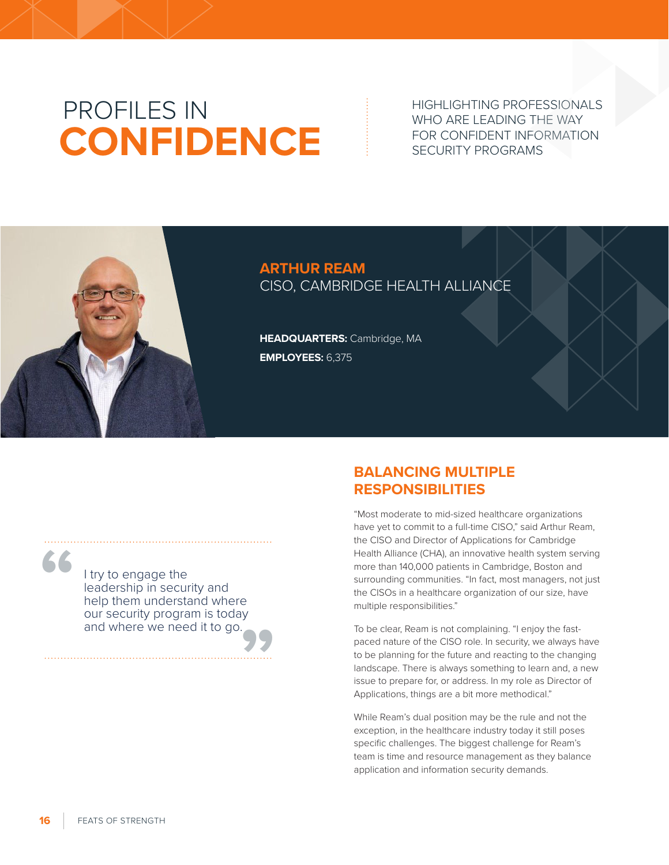# PROFILES IN **CONFIDENCE**

HIGHLIGHTING PROFESSIONALS WHO ARE LEADING THE WAY FOR CONFIDENT INFORMATION SECURITY PROGRAMS



### **ARTHUR REAM** CISO, CAMBRIDGE HEALTH ALLIANCE

**HEADQUARTERS:** Cambridge, MA **EMPLOYEES:** 6,375

**"**

## **BALANCING MULTIPLE RESPONSIBILITIES**

"Most moderate to mid-sized healthcare organizations have yet to commit to a full-time CISO," said Arthur Ream, the CISO and Director of Applications for Cambridge Health Alliance (CHA), an innovative health system serving more than 140,000 patients in Cambridge, Boston and surrounding communities. "In fact, most managers, not just the CISOs in a healthcare organization of our size, have multiple responsibilities."

To be clear, Ream is not complaining. "I enjoy the fastpaced nature of the CISO role. In security, we always have to be planning for the future and reacting to the changing landscape. There is always something to learn and, a new issue to prepare for, or address. In my role as Director of Applications, things are a bit more methodical."

While Ream's dual position may be the rule and not the exception, in the healthcare industry today it still poses specific challenges. The biggest challenge for Ream's team is time and resource management as they balance application and information security demands.

#### our security program is today and where we need it to go.

I try to engage the

leadership in security and help them understand where

**"**